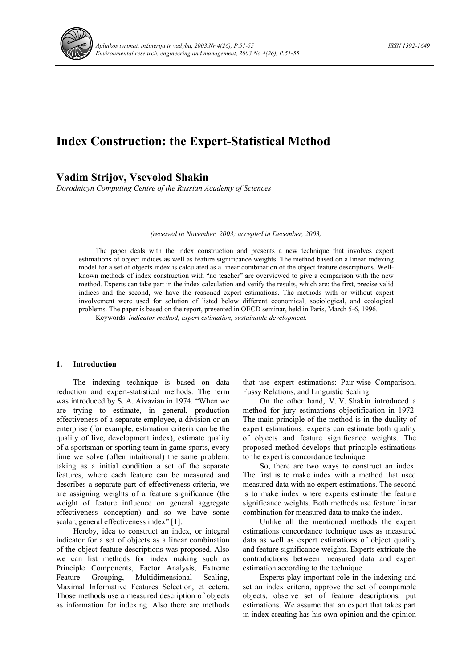

# **Index Construction: the Expert-Statistical Method**

### **Vadim Strijov, Vsevolod Shakin**

*Dorodnicyn Computing Centre of the Russian Academy of Sciences*

*(received in November, 2003; accepted in December, 2003)* 

The paper deals with the index construction and presents a new technique that involves expert estimations of object indices as well as feature significance weights. The method based on a linear indexing model for a set of objects index is calculated as a linear combination of the object feature descriptions. Wellknown methods of index construction with "no teacher" are overviewed to give a comparison with the new method. Experts can take part in the index calculation and verify the results, which are: the first, precise valid indices and the second, we have the reasoned expert estimations. The methods with or without expert involvement were used for solution of listed below different economical, sociological, and ecological problems. The paper is based on the report, presented in OECD seminar, held in Paris, March 5-6, 1996.

Keywords: *indicator method, expert estimation, sustainable development.*

#### **1. Introduction**

The indexing technique is based on data reduction and expert-statistical methods. The term was introduced by S. A. Aivazian in 1974. "When we are trying to estimate, in general, production effectiveness of a separate employee, a division or an enterprise (for example, estimation criteria can be the quality of live, development index), estimate quality of a sportsman or sporting team in game sports, every time we solve (often intuitional) the same problem: taking as a initial condition a set of the separate features, where each feature can be measured and describes a separate part of effectiveness criteria, we are assigning weights of a feature significance (the weight of feature influence on general aggregate effectiveness conception) and so we have some scalar, general effectiveness index" [1].

Hereby, idea to construct an index, or integral indicator for a set of objects as a linear combination of the object feature descriptions was proposed. Also we can list methods for index making such as Principle Components, Factor Analysis, Extreme Feature Grouping, Multidimensional Scaling, Maximal Informative Features Selection, et cetera. Those methods use a measured description of objects as information for indexing. Also there are methods that use expert estimations: Pair-wise Comparison, Fussy Relations, and Linguistic Scaling.

On the other hand, V. V. Shakin introduced a method for jury estimations objectification in 1972. The main principle of the method is in the duality of expert estimations: experts can estimate both quality of objects and feature significance weights. The proposed method develops that principle estimations to the expert is concordance technique.

So, there are two ways to construct an index. The first is to make index with a method that used measured data with no expert estimations. The second is to make index where experts estimate the feature significance weights. Both methods use feature linear combination for measured data to make the index.

Unlike all the mentioned methods the expert estimations concordance technique uses as measured data as well as expert estimations of object quality and feature significance weights. Experts extricate the contradictions between measured data and expert estimation according to the technique.

Experts play important role in the indexing and set an index criteria, approve the set of comparable objects, observe set of feature descriptions, put estimations. We assume that an expert that takes part in index creating has his own opinion and the opinion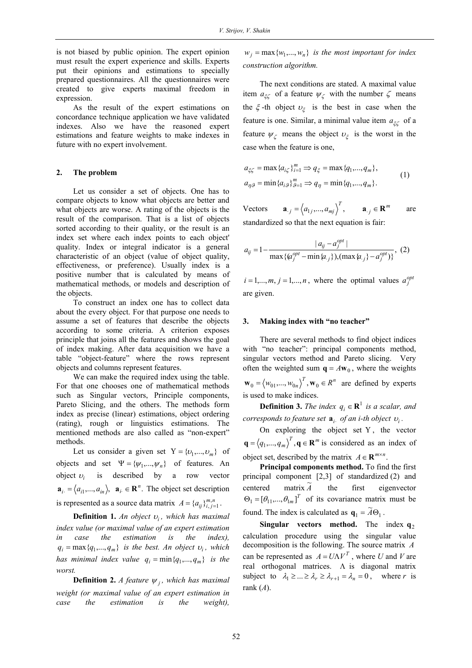is not biased by public opinion. The expert opinion must result the expert experience and skills. Experts put their opinions and estimations to specially prepared questionnaires. All the questionnaires were created to give experts maximal freedom in expression.

As the result of the expert estimations on concordance technique application we have validated indexes. Also we have the reasoned expert estimations and feature weights to make indexes in future with no expert involvement.

#### **2. The problem**

Let us consider a set of objects. One has to compare objects to know what objects are better and what objects are worse. A rating of the objects is the result of the comparison. That is a list of objects sorted according to their quality, or the result is an index set where each index points to each object' quality. Index or integral indicator is a general characteristic of an object (value of object quality, effectiveness, or preference). Usually index is a positive number that is calculated by means of mathematical methods, or models and description of the objects.

To construct an index one has to collect data about the every object. For that purpose one needs to assume a set of features that describe the objects according to some criteria. A criterion exposes principle that joins all the features and shows the goal of index making. After data acquisition we have a table "object-feature" where the rows represent objects and columns represent features.

We can make the required index using the table. For that one chooses one of mathematical methods such as Singular vectors, Principle components, Pareto Slicing, and the others. The methods form index as precise (linear) estimations, object ordering (rating), rough or linguistics estimations. The mentioned methods are also called as "non-expert" methods.

Let us consider a given set  $Y = \{v_1, ..., v_m\}$  of objects and set  $\Psi = {\psi_1, ..., \psi_n}$  of features. An object  $v_i$  is described by a row vector  $\mathbf{a}_i = \langle a_{i1},..., a_{in} \rangle$ ,  $\mathbf{a}_i \in \mathbb{R}^n$ . The object set description is represented as a source data matrix  $A = \{a_{ij}\}_{i,j=1}^{m,n}$ .

**Definition 1.** *An object* <sup>υ</sup>*<sup>i</sup> , which has maximal index value (or maximal value of an expert estimation in case the estimation is the index),*   $q_i = \max\{q_1, \ldots, q_m\}$  *is the best. An object*  $v_i$ *, which has minimal index value*  $q_i = \min\{q_1, ..., q_m\}$  *is the worst.*

**Definition 2.** *A feature*  $\psi_i$ *, which has maximal weight (or maximal value of an expert estimation in case the estimation is the weight),* 

 $w_i = \max \{w_1, \ldots, w_n\}$  *is the most important for index construction algorithm.*

The next conditions are stated. A maximal value item  $a_{\xi\zeta}$  of a feature  $\psi_{\zeta}$  with the number  $\zeta$  means the  $\xi$ -th object  $\nu_{\xi}$  is the best in case when the feature is one. Similar, a minimal value item  $a_{\xi\zeta}$  of a feature  $\psi_{\zeta}$  means the object  $\nu_{\zeta}$  is the worst in the case when the feature is one,

$$
a_{\xi\zeta} = \max \{ a_{i\zeta} \}_{i=1}^m \Rightarrow q_{\xi} = \max \{ q_1, ..., q_m \},
$$
  
\n
$$
a_{\eta\beta} = \min \{ a_{i\beta} \}_{\beta=1}^m \Rightarrow q_{\eta} = \min \{ q_1, ..., q_m \}.
$$
\n(1)

Vectors  $\mathbf{a}_{.j} = \langle a_{1j},..., a_{mj} \rangle^T$ ,  $\mathbf{a}_{.j} \in \mathbb{R}^m$  are standardized so that the next equation is fair:

$$
a_{ij} = 1 - \frac{|a_{ij} - a_j^{opt}|}{\max\{(a_j^{opt} - \min\{a_{.j}\}), (\max\{a_{.j}\} - a_j^{opt})\}}, (2)
$$

 $i = 1,..., m, j = 1,..., n$ , where the optimal values  $a_j^{opt}$ are given.

#### **3. Making index with "no teacher"**

There are several methods to find object indices with "no teacher": principal components method, singular vectors method and Pareto slicing. Very often the weighted sum  $q = A w_0$ , where the weights  $\mathbf{w}_0 = \langle w_{01},...,w_{0n} \rangle^T$ ,  $\mathbf{w}_0 \in R^n$  are defined by experts is used to make indices.

**Definition 3.** *The index*  $q_i \in \mathbb{R}^1$  *is a scalar, and corresponds to feature set*  $\mathbf{a}_i$  *of an i-th object*  $v_i$ *.* 

On exploring the object set Y, the vector  $\mathbf{q} = (q_1, ..., q_m)^T$ ,  $\mathbf{q} \in \mathbf{R}^m$  is considered as an index of object set, described by the matrix  $A \in \mathbb{R}^{m \times n}$ .

**Principal components method.** To find the first principal component [2,3] of standardized (2) and centered matrix *A* the first eigenvector  $\Theta_1 = [\theta_{11}, ..., \theta_{1m}]^T$  of its covariance matrix must be found. The index is calculated as  $\mathbf{q}_1 = \widetilde{A}\Theta_1$ .

**Singular** vectors method. The index  $q_2$ calculation procedure using the singular value decomposition is the following. The source matrix *A* can be represented as  $A = U \Lambda V^T$ , where *U* and *V* are real orthogonal matrices. Λ is diagonal matrix subject to  $\lambda_1 \geq ... \geq \lambda_r \geq \lambda_{r+1} = \lambda_n = 0$ , where *r* is rank (*A*).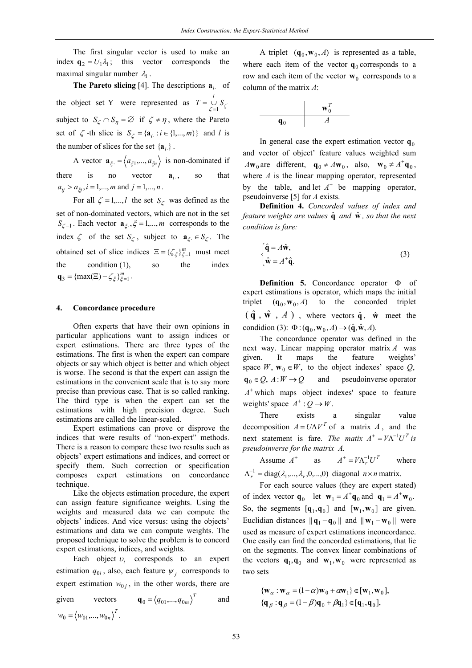The first singular vector is used to make an index  $\mathbf{q}_2 = U_1 \lambda_1$ ; this vector corresponds the maximal singular number  $\lambda_1$ .

**The Pareto slicing** [4]. The descriptions **a***i*<sup>⋅</sup> of the object set Y were represented as  $T = \bigcup_{\zeta=1}^{l} S_{\zeta}$ subject to  $S_\zeta \cap S_\eta = \varnothing$  if  $\zeta \neq \eta$ , where the Pareto set of  $\zeta$  -th slice is  $S_{\zeta} = {\mathbf{a}_i : i \in \{1, ..., m\}}$  and *l* is the number of slices for the set  ${a_i}$ .

A vector  $\mathbf{a}_{\xi} = \langle a_{\xi1},..., a_{\xi n} \rangle$  is non-dominated if there is no vector  $\mathbf{a}_{i}$ , so that  $a_{ij} > a_{\xi i}$ ,  $i = 1,...,m$  and  $j = 1,...,n$ .

For all  $\zeta = 1,...,l$  the set  $S_{\zeta}$  was defined as the set of non-dominated vectors, which are not in the set *S*<sub> $\zeta$ -1</sub>. Each vector  $\mathbf{a}_{\xi}$ ,  $\zeta$  = 1,..., *m* corresponds to the index  $\zeta$  of the set  $S_{\zeta}$ , subject to  $\mathbf{a}_{\xi} \in S_{\zeta}$ . The obtained set of slice indices  $\Xi = {\{\zeta_{\xi}\}}_{\xi=1}^{m}$  must meet the condition (1), so the index  $\mathbf{q}_3 = {\max(\Xi) - \zeta_{\xi}}_{\xi=1}^{m}$ .

#### **4. Concordance procedure**

Often experts that have their own opinions in particular applications want to assign indices or expert estimations. There are three types of the estimations. The first is when the expert can compare objects or say which object is better and which object is worse. The second is that the expert can assign the estimations in the convenient scale that is to say more precise than previous case. That is so called ranking. The third type is when the expert can set the estimations with high precision degree. Such estimations are called the linear-scaled.

Expert estimations can prove or disprove the indices that were results of "non-expert" methods. There is a reason to compare these two results such as objects' expert estimations and indices, and correct or specify them. Such correction or specification composes expert estimations on concordance technique.

Like the objects estimation procedure, the expert can assign feature significance weights. Using the weights and measured data we can compute the objects' indices. And vice versus: using the objects' estimations and data we can compute weights. The proposed technique to solve the problem is to concord expert estimations, indices, and weights.

Each object  $v_i$  corresponds to an expert estimation  $q_{0i}$ , also, each feature  $\psi_i$  corresponds to expert estimation  $w_{0j}$ , in the other words, there are

given vectors  $\mathbf{q}_0 = \langle q_{01},...,q_{0m} \rangle^T$  and  $w_0 = \langle w_{01}, ..., w_{0n} \rangle^T$ .

A triplet  $({\bf q}_0, {\bf w}_0, A)$  is represented as a table, where each item of the vector  $\mathbf{q}_0$  corresponds to a row and each item of the vector  $w_0$  corresponds to a column of the matrix *A*:

$$
\begin{array}{c|c}\n & \mathbf{w}_0^T \\
\hline\n\mathbf{q}_0 & A\n\end{array}
$$

In general case the expert estimation vector  $q_0$ and vector of object' feature values weighted sum  $A\mathbf{w}_0$  are different,  $\mathbf{q}_0 \neq A\mathbf{w}_0$ , also,  $\mathbf{w}_0 \neq A^+ \mathbf{q}_0$ , where *A* is the linear mapping operator, represented by the table, and let  $A^+$  be mapping operator, pseudoinverse [5] for *A* exists.

**Definition 4.** *Concorded values of index and feature weights are values*  $\hat{\mathbf{q}}$  *and*  $\hat{\mathbf{w}}$ *, so that the next condition is fare:* 

$$
\begin{cases} \hat{\mathbf{q}} = A\hat{\mathbf{w}}, \\ \hat{\mathbf{w}} = A^{\dagger}\hat{\mathbf{q}}. \end{cases}
$$
 (3)

**Definition 5.** Concordance operator Φ of expert estimations is operator, which maps the initial triplet  $({\bf q}_0, {\bf w}_0, A)$  to the concorded triplet  $(\hat{\mathbf{q}}, \hat{\mathbf{w}}, A)$ , where vectors  $\hat{\mathbf{q}}$ ,  $\hat{\mathbf{w}}$  meet the condidion (3):  $\Phi$  : ( $\mathbf{q}_0$ ,  $\mathbf{w}_0$ , A)  $\rightarrow$  ( $\hat{\mathbf{q}}$ ,  $\hat{\mathbf{w}}$ , A).

The concordance operator was defined in the next way. Linear mapping operator matrix *A* was given. It maps the feature weights' space *W*,  $\mathbf{w}_0 \in W$ , to the object indexes' space *Q*,  $\mathbf{q}_0 \in Q$ ,  $A: W \to Q$  and pseudoinverse operator  $A<sup>+</sup>$  which maps object indexes' space to feature weights' space  $A^+$  :  $Q \rightarrow W$ .

There exists a singular value decomposition  $A = U \Lambda V^T$  of a matrix *A*, and the next statement is fare. *The matix*  $A^+ = V\Lambda^{-1}U^T$  *is pseudoinverse for the matrix A*.

Assume 
$$
A^+
$$
 as  $A^+ = V\Lambda_r^{-1}U^T$  where  
\n $\Lambda_r^{-1} = \text{diag}(\lambda_1, ..., \lambda_r, 0, ..., 0)$  diagonal  $n \times n$  matrix.

For each source values (they are expert stated)

of index vector  $\mathbf{q}_0$  let  $\mathbf{w}_1 = A^+ \mathbf{q}_0$  and  $\mathbf{q}_1 = A^+ \mathbf{w}_0$ . So, the segments  $[q_1, q_0]$  and  $[w_1, w_0]$  are given. Euclidian distances  $||\mathbf{q}_1 - \mathbf{q}_0||$  and  $||\mathbf{w}_1 - \mathbf{w}_0||$  were used as measure of expert estimations inconcordance. One easily can find the concorded estimations, that lie on the segments. The convex linear combinations of the vectors  $\mathbf{q}_1, \mathbf{q}_0$  and  $\mathbf{w}_1, \mathbf{w}_0$  were represented as two sets

$$
\{\mathbf{w}_{\alpha} : \mathbf{w}_{\alpha} = (1 - \alpha)\mathbf{w}_0 + \alpha \mathbf{w}_1\} \in [\mathbf{w}_1, \mathbf{w}_0],
$$
  

$$
\{\mathbf{q}_{\beta} : \mathbf{q}_{\beta} = (1 - \beta)\mathbf{q}_0 + \beta \mathbf{q}_1\} \in [\mathbf{q}_1, \mathbf{q}_0],
$$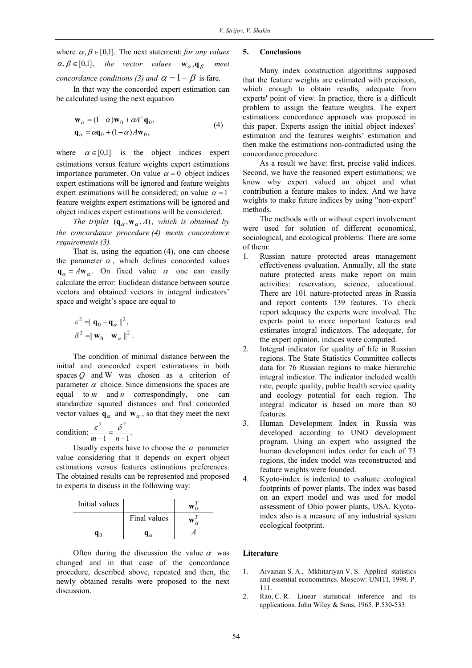where  $\alpha, \beta \in [0,1]$ . The next statement: *for any values*  $\alpha, \beta \in [0,1],$  the vector values **w**<sub>α</sub>, **q**<sub>β</sub> *concordance conditions (3) and*  $\alpha = 1 - \beta$  is fare.

In that way the concorded expert estimation can be calculated using the next equation

$$
\mathbf{w}_{\alpha} = (1 - \alpha)\mathbf{w}_0 + \alpha A^+ \mathbf{q}_0, \n\mathbf{q}_{\alpha} = \alpha \mathbf{q}_0 + (1 - \alpha)A\mathbf{w}_0,
$$
\n(4)

where  $\alpha \in [0,1]$  is the object indices expert estimations versus feature weights expert estimations importance parameter. On value  $\alpha = 0$  object indices expert estimations will be ignored and feature weights expert estimations will be considered; on value  $\alpha = 1$ feature weights expert estimations will be ignored and object indices expert estimations will be considered.

*The triplet*  $(\mathbf{q}_{\alpha}, \mathbf{w}_{\alpha}, A)$ , which is obtained by *the concordance procedure (4) meets concordance requirements (3).* 

That is, using the equation (4), one can choose the parameter  $\alpha$ , which defines concorded values  $q_\alpha = A w_\alpha$ . On fixed value  $\alpha$  one can easily calculate the error: Euclidean distance between source vectors and obtained vectors in integral indicators' space and weight's space are equal to

$$
\varepsilon^2 = ||\mathbf{q}_0 - \mathbf{q}_\alpha||^2,
$$
  

$$
\delta^2 = ||\mathbf{w}_0 - \mathbf{w}_\alpha||^2.
$$

The condition of minimal distance between the initial and concorded expert estimations in both spaces *Q* and W was chosen as a criterion of parameter  $\alpha$  choice. Since dimensions the spaces are equal to *m* and *n* correspondingly, one can standardize squared distances and find concorded vector values  $\mathbf{q}_{\alpha}$  and  $\mathbf{w}_{\alpha}$ , so that they meet the next

condition:  $\frac{c}{m-1} = \frac{c}{n-1}$ . 2  $s^2$  $\frac{\varepsilon^2}{m-1} = \frac{\delta^2}{n-1}$ 

Usually experts have to choose the  $\alpha$  parameter value considering that it depends on expert object estimations versus features estimations preferences. The obtained results can be represented and proposed to experts to discuss in the following way:

| Initial values |              |  |
|----------------|--------------|--|
|                | Final values |  |
|                |              |  |

Often during the discussion the value  $\alpha$  was changed and in that case of the concordance procedure, described above, repeated and then, the newly obtained results were proposed to the next discussion.

#### **5. Conclusions**

Many index construction algorithms supposed that the feature weights are estimated with precision, which enough to obtain results, adequate from experts' point of view. In practice, there is a difficult problem to assign the feature weights. The expert estimations concordance approach was proposed in this paper. Experts assign the initial object indexes' estimation and the features weights' estimation and then make the estimations non-contradicted using the concordance procedure.

As a result we have: first, precise valid indices. Second, we have the reasoned expert estimations; we know why expert valued an object and what contribution a feature makes to index. And we have weights to make future indices by using "non-expert" methods.

The methods with or without expert involvement were used for solution of different economical, sociological, and ecological problems. There are some of them:

- 1. Russian nature protected areas management effectiveness evaluation. Annually, all the state nature protected areas make report on main activities: reservation, science, educational. There are 101 nature-protected areas in Russia and report contents 139 features. To check report adequacy the experts were involved. The experts point to more important features and estimates integral indicators. The adequate, for the expert opinion, indices were computed.
- 2. Integral indicator for quality of life in Russian regions. The State Statistics Committee collects data for 76 Russian regions to make hierarchic integral indicator. The indicator included wealth rate, people quality, public health service quality and ecology potential for each region. The integral indicator is based on more than 80 features.
- 3. Human Development Index in Russia was developed according to UNO development program. Using an expert who assigned the human development index order for each of 73 regions, the index model was reconstructed and feature weights were founded.
- 4. Kyoto-index is indented to evaluate ecological footprints of power plants. The index was based on an expert model and was used for model assessment of Ohio power plants, USA. Kyotoindex also is a measure of any industrial system ecological footprint.

#### **Literature**

- 1. Aivazian S. A., Mkhitariyan V. S. Applied statistics and essential econometrics. Moscow: UNITI, 1998. P. 111.
- 2. Rao, C. R. Linear statistical inference and its applications. John Wiley & Sons, 1965. P.530-533.